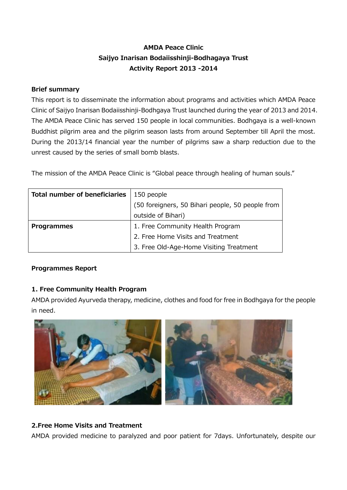# **AMDA Peace Clinic Saijyo Inarisan Bodaiisshinji-Bodhagaya Trust Activity Report 2013 -2014**

#### **Brief summary**

This report is to disseminate the information about programs and activities which AMDA Peace Clinic of Saijyo Inarisan Bodaiisshinji-Bodhgaya Trust launched during the year of 2013 and 2014. The AMDA Peace Clinic has served 150 people in local communities. Bodhgaya is a well-known Buddhist pilgrim area and the pilgrim season lasts from around September till April the most. During the 2013/14 financial year the number of pilgrims saw a sharp reduction due to the unrest caused by the series of small bomb blasts.

The mission of the AMDA Peace Clinic is "Global peace through healing of human souls."

| <b>Total number of beneficiaries</b> | 150 people                                       |
|--------------------------------------|--------------------------------------------------|
|                                      | (50 foreigners, 50 Bihari people, 50 people from |
|                                      | outside of Bihari)                               |
| <b>Programmes</b>                    | 1. Free Community Health Program                 |
|                                      | 2. Free Home Visits and Treatment                |
|                                      | 3. Free Old-Age-Home Visiting Treatment          |

### **Programmes Report**

### **1. Free Community Health Program**

AMDA provided Ayurveda therapy, medicine, clothes and food for free in Bodhgaya for the people in need.



### **2.Free Home Visits and Treatment**

AMDA provided medicine to paralyzed and poor patient for 7days. Unfortunately, despite our